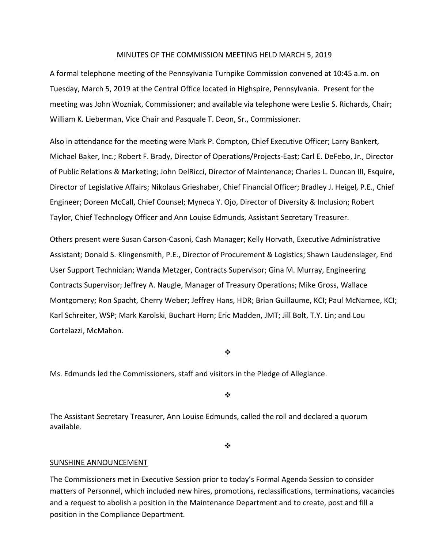#### MINUTES OF THE COMMISSION MEETING HELD MARCH 5, 2019

A formal telephone meeting of the Pennsylvania Turnpike Commission convened at 10:45 a.m. on Tuesday, March 5, 2019 at the Central Office located in Highspire, Pennsylvania. Present for the meeting was John Wozniak, Commissioner; and available via telephone were Leslie S. Richards, Chair; William K. Lieberman, Vice Chair and Pasquale T. Deon, Sr., Commissioner.

Also in attendance for the meeting were Mark P. Compton, Chief Executive Officer; Larry Bankert, Michael Baker, Inc.; Robert F. Brady, Director of Operations/Projects‐East; Carl E. DeFebo, Jr., Director of Public Relations & Marketing; John DelRicci, Director of Maintenance; Charles L. Duncan III, Esquire, Director of Legislative Affairs; Nikolaus Grieshaber, Chief Financial Officer; Bradley J. Heigel, P.E., Chief Engineer; Doreen McCall, Chief Counsel; Myneca Y. Ojo, Director of Diversity & Inclusion; Robert Taylor, Chief Technology Officer and Ann Louise Edmunds, Assistant Secretary Treasurer.

Others present were Susan Carson‐Casoni, Cash Manager; Kelly Horvath, Executive Administrative Assistant; Donald S. Klingensmith, P.E., Director of Procurement & Logistics; Shawn Laudenslager, End User Support Technician; Wanda Metzger, Contracts Supervisor; Gina M. Murray, Engineering Contracts Supervisor; Jeffrey A. Naugle, Manager of Treasury Operations; Mike Gross, Wallace Montgomery; Ron Spacht, Cherry Weber; Jeffrey Hans, HDR; Brian Guillaume, KCI; Paul McNamee, KCI; Karl Schreiter, WSP; Mark Karolski, Buchart Horn; Eric Madden, JMT; Jill Bolt, T.Y. Lin; and Lou Cortelazzi, McMahon.

❖

Ms. Edmunds led the Commissioners, staff and visitors in the Pledge of Allegiance.

❖

The Assistant Secretary Treasurer, Ann Louise Edmunds, called the roll and declared a quorum available.

 $\bullet^{\bullet}_{\bullet}$ 

#### SUNSHINE ANNOUNCEMENT

The Commissioners met in Executive Session prior to today's Formal Agenda Session to consider matters of Personnel, which included new hires, promotions, reclassifications, terminations, vacancies and a request to abolish a position in the Maintenance Department and to create, post and fill a position in the Compliance Department.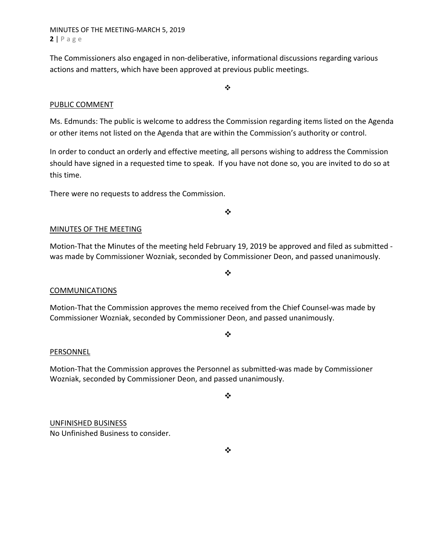MINUTES OF THE MEETING‐MARCH 5, 2019 **2** | Page

The Commissioners also engaged in non‐deliberative, informational discussions regarding various actions and matters, which have been approved at previous public meetings.

## $\bullet$

## PUBLIC COMMENT

Ms. Edmunds: The public is welcome to address the Commission regarding items listed on the Agenda or other items not listed on the Agenda that are within the Commission's authority or control.

In order to conduct an orderly and effective meeting, all persons wishing to address the Commission should have signed in a requested time to speak. If you have not done so, you are invited to do so at this time.

There were no requests to address the Commission.

 $\frac{1}{2}$ 

#### MINUTES OF THE MEETING

Motion‐That the Minutes of the meeting held February 19, 2019 be approved and filed as submitted ‐ was made by Commissioner Wozniak, seconded by Commissioner Deon, and passed unanimously.

 $\frac{1}{2}$ 

#### COMMUNICATIONS

Motion‐That the Commission approves the memo received from the Chief Counsel‐was made by Commissioner Wozniak, seconded by Commissioner Deon, and passed unanimously.

# $\frac{1}{2}$

#### PERSONNEL

Motion‐That the Commission approves the Personnel as submitted‐was made by Commissioner Wozniak, seconded by Commissioner Deon, and passed unanimously.

 $\frac{1}{2}$ 

UNFINISHED BUSINESS No Unfinished Business to consider.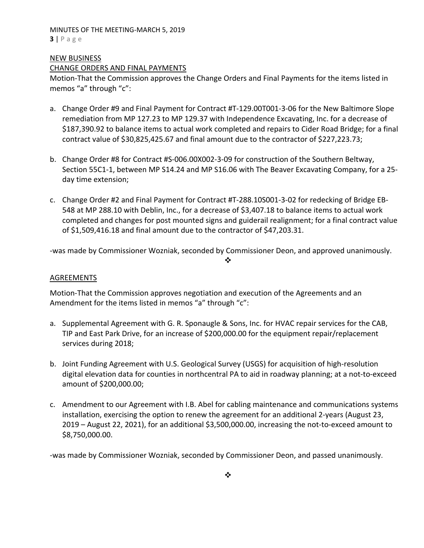#### MINUTES OF THE MEETING‐MARCH 5, 2019 **3** | Page

### NEW BUSINESS

## CHANGE ORDERS AND FINAL PAYMENTS

Motion‐That the Commission approves the Change Orders and Final Payments for the items listed in memos "a" through "c":

- a. Change Order #9 and Final Payment for Contract #T‐129.00T001‐3‐06 for the New Baltimore Slope remediation from MP 127.23 to MP 129.37 with Independence Excavating, Inc. for a decrease of \$187,390.92 to balance items to actual work completed and repairs to Cider Road Bridge; for a final contract value of \$30,825,425.67 and final amount due to the contractor of \$227,223.73;
- b. Change Order #8 for Contract #S‐006.00X002‐3‐09 for construction of the Southern Beltway, Section 55C1‐1, between MP S14.24 and MP S16.06 with The Beaver Excavating Company, for a 25‐ day time extension;
- c. Change Order #2 and Final Payment for Contract #T‐288.10S001‐3‐02 for redecking of Bridge EB‐ 548 at MP 288.10 with Deblin, Inc., for a decrease of \$3,407.18 to balance items to actual work completed and changes for post mounted signs and guiderail realignment; for a final contract value of \$1,509,416.18 and final amount due to the contractor of \$47,203.31.

‐was made by Commissioner Wozniak, seconded by Commissioner Deon, and approved unanimously.

#### ❖

## AGREEMENTS

Motion‐That the Commission approves negotiation and execution of the Agreements and an Amendment for the items listed in memos "a" through "c":

- a. Supplemental Agreement with G. R. Sponaugle & Sons, Inc. for HVAC repair services for the CAB, TIP and East Park Drive, for an increase of \$200,000.00 for the equipment repair/replacement services during 2018;
- b. Joint Funding Agreement with U.S. Geological Survey (USGS) for acquisition of high‐resolution digital elevation data for counties in northcentral PA to aid in roadway planning; at a not‐to‐exceed amount of \$200,000.00;
- c. Amendment to our Agreement with I.B. Abel for cabling maintenance and communications systems installation, exercising the option to renew the agreement for an additional 2‐years (August 23, 2019 – August 22, 2021), for an additional \$3,500,000.00, increasing the not‐to‐exceed amount to \$8,750,000.00.

‐was made by Commissioner Wozniak, seconded by Commissioner Deon, and passed unanimously.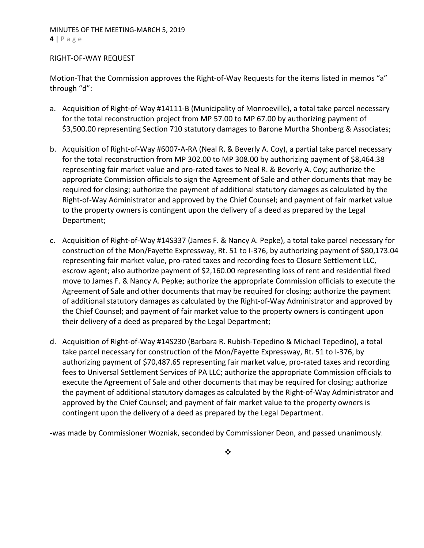### RIGHT‐OF‐WAY REQUEST

Motion-That the Commission approves the Right-of-Way Requests for the items listed in memos "a" through "d":

- a. Acquisition of Right‐of‐Way #14111‐B (Municipality of Monroeville), a total take parcel necessary for the total reconstruction project from MP 57.00 to MP 67.00 by authorizing payment of \$3,500.00 representing Section 710 statutory damages to Barone Murtha Shonberg & Associates;
- b. Acquisition of Right‐of‐Way #6007‐A‐RA (Neal R. & Beverly A. Coy), a partial take parcel necessary for the total reconstruction from MP 302.00 to MP 308.00 by authorizing payment of \$8,464.38 representing fair market value and pro‐rated taxes to Neal R. & Beverly A. Coy; authorize the appropriate Commission officials to sign the Agreement of Sale and other documents that may be required for closing; authorize the payment of additional statutory damages as calculated by the Right‐of‐Way Administrator and approved by the Chief Counsel; and payment of fair market value to the property owners is contingent upon the delivery of a deed as prepared by the Legal Department;
- c. Acquisition of Right‐of‐Way #14S337 (James F. & Nancy A. Pepke), a total take parcel necessary for construction of the Mon/Fayette Expressway, Rt. 51 to I‐376, by authorizing payment of \$80,173.04 representing fair market value, pro‐rated taxes and recording fees to Closure Settlement LLC, escrow agent; also authorize payment of \$2,160.00 representing loss of rent and residential fixed move to James F. & Nancy A. Pepke; authorize the appropriate Commission officials to execute the Agreement of Sale and other documents that may be required for closing; authorize the payment of additional statutory damages as calculated by the Right‐of‐Way Administrator and approved by the Chief Counsel; and payment of fair market value to the property owners is contingent upon their delivery of a deed as prepared by the Legal Department;
- d. Acquisition of Right‐of‐Way #14S230 (Barbara R. Rubish‐Tepedino & Michael Tepedino), a total take parcel necessary for construction of the Mon/Fayette Expressway, Rt. 51 to I‐376, by authorizing payment of \$70,487.65 representing fair market value, pro-rated taxes and recording fees to Universal Settlement Services of PA LLC; authorize the appropriate Commission officials to execute the Agreement of Sale and other documents that may be required for closing; authorize the payment of additional statutory damages as calculated by the Right‐of‐Way Administrator and approved by the Chief Counsel; and payment of fair market value to the property owners is contingent upon the delivery of a deed as prepared by the Legal Department.

‐was made by Commissioner Wozniak, seconded by Commissioner Deon, and passed unanimously.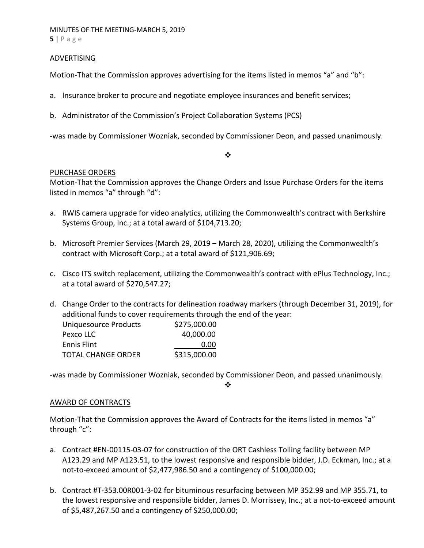MINUTES OF THE MEETING‐MARCH 5, 2019

**5** | Page

#### ADVERTISING

Motion-That the Commission approves advertising for the items listed in memos "a" and "b":

- a. Insurance broker to procure and negotiate employee insurances and benefit services;
- b. Administrator of the Commission's Project Collaboration Systems (PCS)

‐was made by Commissioner Wozniak, seconded by Commissioner Deon, and passed unanimously.

 $\frac{1}{2}$ 

### PURCHASE ORDERS

Motion‐That the Commission approves the Change Orders and Issue Purchase Orders for the items listed in memos "a" through "d":

- a. RWIS camera upgrade for video analytics, utilizing the Commonwealth's contract with Berkshire Systems Group, Inc.; at a total award of \$104,713.20;
- b. Microsoft Premier Services (March 29, 2019 March 28, 2020), utilizing the Commonwealth's contract with Microsoft Corp.; at a total award of \$121,906.69;
- c. Cisco ITS switch replacement, utilizing the Commonwealth's contract with ePlus Technology, Inc.; at a total award of \$270,547.27;
- d. Change Order to the contracts for delineation roadway markers (through December 31, 2019), for additional funds to cover requirements through the end of the year:

| <b>Uniquesource Products</b> | \$275,000.00 |
|------------------------------|--------------|
| Pexco LLC                    | 40,000.00    |
| Ennis Flint                  | 0.00         |
| <b>TOTAL CHANGE ORDER</b>    | \$315,000.00 |

‐was made by Commissioner Wozniak, seconded by Commissioner Deon, and passed unanimously.

❖

## AWARD OF CONTRACTS

Motion-That the Commission approves the Award of Contracts for the items listed in memos "a" through "c":

- a. Contract #EN‐00115‐03‐07 for construction of the ORT Cashless Tolling facility between MP A123.29 and MP A123.51, to the lowest responsive and responsible bidder, J.D. Eckman, Inc.; at a not-to-exceed amount of \$2,477,986.50 and a contingency of \$100,000.00;
- b. Contract #T‐353.00R001‐3‐02 for bituminous resurfacing between MP 352.99 and MP 355.71, to the lowest responsive and responsible bidder, James D. Morrissey, Inc.; at a not‐to‐exceed amount of \$5,487,267.50 and a contingency of \$250,000.00;